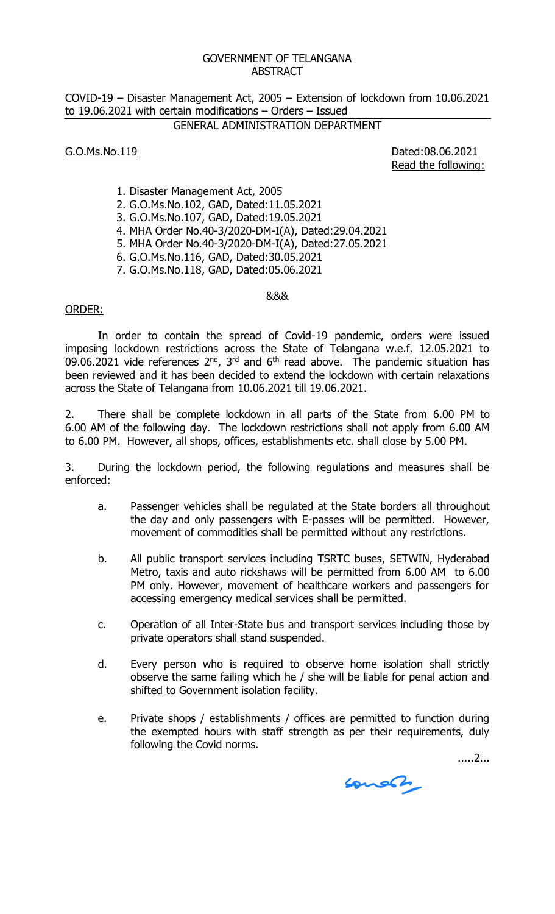#### GOVERNMENT OF TELANGANA **ABSTRACT**

COVID-19 – Disaster Management Act, 2005 – Extension of lockdown from 10.06.2021 to 19.06.2021 with certain modifications – Orders – Issued

# GENERAL ADMINISTRATION DEPARTMENT

## G.O.Ms.No.119 Dated:08.06.2021

Read the following:

- 1. Disaster Management Act, 2005
- 2. G.O.Ms.No.102, GAD, Dated:11.05.2021
- 3. G.O.Ms.No.107, GAD, Dated:19.05.2021
- 4. MHA Order No.40-3/2020-DM-I(A), Dated:29.04.2021
- 5. MHA Order No.40-3/2020-DM-I(A), Dated:27.05.2021
- 6. G.O.Ms.No.116, GAD, Dated:30.05.2021
- 7. G.O.Ms.No.118, GAD, Dated:05.06.2021

#### &&&

## ORDER:

In order to contain the spread of Covid-19 pandemic, orders were issued imposing lockdown restrictions across the State of Telangana w.e.f. 12.05.2021 to 09.06.2021 vide references  $2^{nd}$ ,  $3^{rd}$  and  $6^{th}$  read above. The pandemic situation has been reviewed and it has been decided to extend the lockdown with certain relaxations across the State of Telangana from 10.06.2021 till 19.06.2021.

2. There shall be complete lockdown in all parts of the State from 6.00 PM to 6.00 AM of the following day. The lockdown restrictions shall not apply from 6.00 AM to 6.00 PM. However, all shops, offices, establishments etc. shall close by 5.00 PM.

3. During the lockdown period, the following regulations and measures shall be enforced:

- a. Passenger vehicles shall be regulated at the State borders all throughout the day and only passengers with E-passes will be permitted. However, movement of commodities shall be permitted without any restrictions.
- b. All public transport services including TSRTC buses, SETWIN, Hyderabad Metro, taxis and auto rickshaws will be permitted from 6.00 AM to 6.00 PM only. However, movement of healthcare workers and passengers for accessing emergency medical services shall be permitted.
- c. Operation of all Inter-State bus and transport services including those by private operators shall stand suspended.
- d. Every person who is required to observe home isolation shall strictly observe the same failing which he / she will be liable for penal action and shifted to Government isolation facility.
- e. Private shops / establishments / offices are permitted to function during the exempted hours with staff strength as per their requirements, duly following the Covid norms.

.....2...

Lonen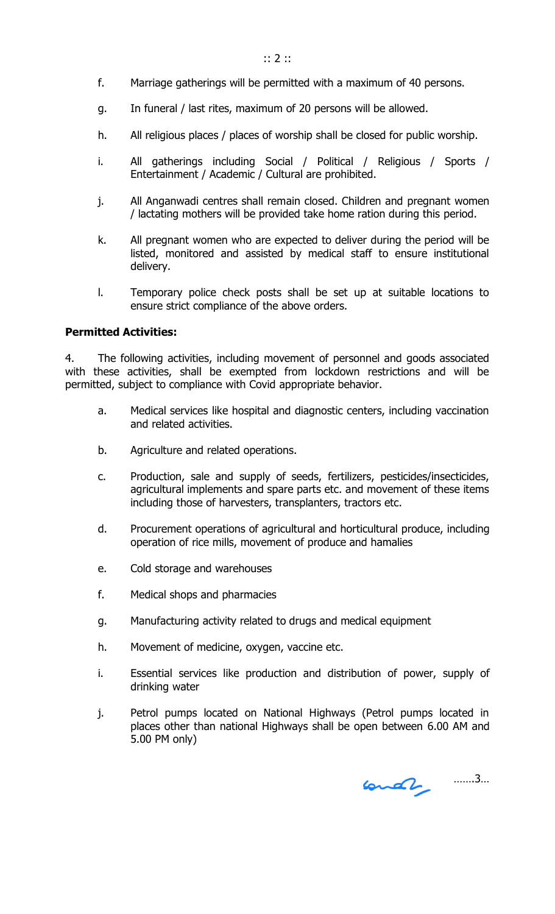- f. Marriage gatherings will be permitted with a maximum of 40 persons.
- g. In funeral / last rites, maximum of 20 persons will be allowed.
- h. All religious places / places of worship shall be closed for public worship.
- i. All gatherings including Social / Political / Religious / Sports / Entertainment / Academic / Cultural are prohibited.
- j. All Anganwadi centres shall remain closed. Children and pregnant women / lactating mothers will be provided take home ration during this period.
- k. All pregnant women who are expected to deliver during the period will be listed, monitored and assisted by medical staff to ensure institutional delivery.
- l. Temporary police check posts shall be set up at suitable locations to ensure strict compliance of the above orders.

### **Permitted Activities:**

4. The following activities, including movement of personnel and goods associated with these activities, shall be exempted from lockdown restrictions and will be permitted, subject to compliance with Covid appropriate behavior.

- a. Medical services like hospital and diagnostic centers, including vaccination and related activities.
- b. Agriculture and related operations.
- c. Production, sale and supply of seeds, fertilizers, pesticides/insecticides, agricultural implements and spare parts etc. and movement of these items including those of harvesters, transplanters, tractors etc.
- d. Procurement operations of agricultural and horticultural produce, including operation of rice mills, movement of produce and hamalies
- e. Cold storage and warehouses
- f. Medical shops and pharmacies
- g. Manufacturing activity related to drugs and medical equipment
- h. Movement of medicine, oxygen, vaccine etc.
- i. Essential services like production and distribution of power, supply of drinking water
- j. Petrol pumps located on National Highways (Petrol pumps located in places other than national Highways shall be open between 6.00 AM and 5.00 PM only)

…….3…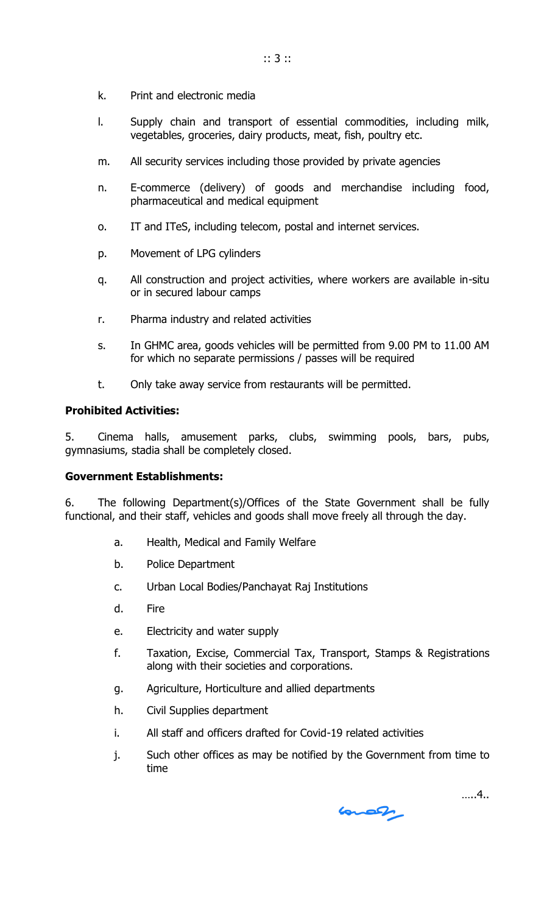- k. Print and electronic media
- l. Supply chain and transport of essential commodities, including milk, vegetables, groceries, dairy products, meat, fish, poultry etc.
- m. All security services including those provided by private agencies
- n. E-commerce (delivery) of goods and merchandise including food, pharmaceutical and medical equipment
- o. IT and ITeS, including telecom, postal and internet services.
- p. Movement of LPG cylinders
- q. All construction and project activities, where workers are available in-situ or in secured labour camps
- r. Pharma industry and related activities
- s. In GHMC area, goods vehicles will be permitted from 9.00 PM to 11.00 AM for which no separate permissions / passes will be required
- t. Only take away service from restaurants will be permitted.

## **Prohibited Activities:**

5. Cinema halls, amusement parks, clubs, swimming pools, bars, pubs, gymnasiums, stadia shall be completely closed.

### **Government Establishments:**

6. The following Department(s)/Offices of the State Government shall be fully functional, and their staff, vehicles and goods shall move freely all through the day.

- a. Health, Medical and Family Welfare
- b. Police Department
- c. Urban Local Bodies/Panchayat Raj Institutions
- d. Fire
- e. Electricity and water supply
- f. Taxation, Excise, Commercial Tax, Transport, Stamps & Registrations along with their societies and corporations.
- g. Agriculture, Horticulture and allied departments
- h. Civil Supplies department
- i. All staff and officers drafted for Covid-19 related activities
- j. Such other offices as may be notified by the Government from time to time

 $6002$ 

…..4..